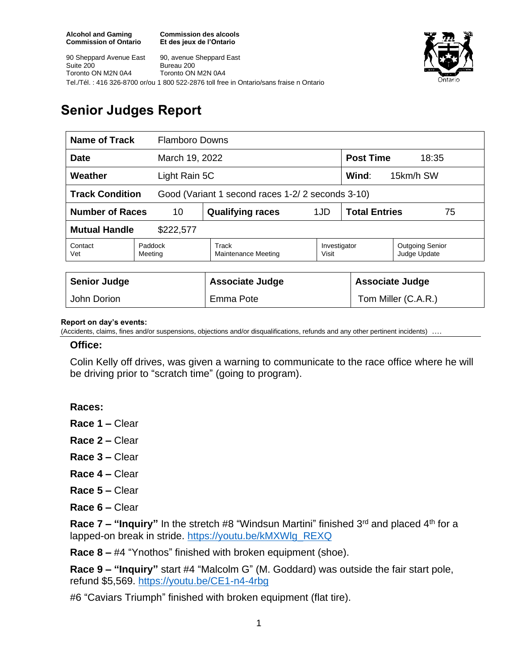**Commission des alcools Et des jeux de l'Ontario**



90 Sheppard Avenue East Suite 200 Toronto ON M2N 0A4 90, avenue Sheppard East Bureau 200 Toronto ON M2N 0A4 Tel./Tél. : 416 326-8700 or/ou 1 800 522-2876 toll free in Ontario/sans fraise n Ontario

# **Senior Judges Report**

| Name of Track                                                              |                    | <b>Flamboro Downs</b>        |                       |                            |                                        |
|----------------------------------------------------------------------------|--------------------|------------------------------|-----------------------|----------------------------|----------------------------------------|
| March 19, 2022<br><b>Date</b>                                              |                    |                              |                       | <b>Post Time</b><br>18:35  |                                        |
| Weather<br>Light Rain 5C                                                   |                    |                              |                       | Wind:<br>15km/h SW         |                                        |
| <b>Track Condition</b><br>Good (Variant 1 second races 1-2/2 seconds 3-10) |                    |                              |                       |                            |                                        |
| <b>Number of Races</b><br>10                                               |                    | <b>Qualifying races</b>      | 1JD                   | <b>Total Entries</b><br>75 |                                        |
| <b>Mutual Handle</b><br>\$222,577                                          |                    |                              |                       |                            |                                        |
| Contact<br>Vet                                                             | Paddock<br>Meeting | Track<br>Maintenance Meeting | Investigator<br>Visit |                            | <b>Outgoing Senior</b><br>Judge Update |
|                                                                            |                    |                              |                       |                            |                                        |
| <b>Senior Judge</b>                                                        |                    | <b>Associate Judge</b>       |                       | <b>Associate Judge</b>     |                                        |
| John Dorion                                                                |                    | Emma Pote                    |                       | Tom Miller (C.A.R.)        |                                        |

#### **Report on day's events:**

(Accidents, claims, fines and/or suspensions, objections and/or disqualifications, refunds and any other pertinent incidents)

#### **Office:**

Colin Kelly off drives, was given a warning to communicate to the race office where he will be driving prior to "scratch time" (going to program).

### **Races:**

- **Race 1 –** Clear
- **Race 2 –** Clear
- **Race 3 –** Clear
- **Race 4 –** Clear
- **Race 5 –** Clear
- **Race 6 –** Clear

**Race 7 – "Inquiry"** In the stretch #8 "Windsun Martini" finished 3<sup>rd</sup> and placed 4<sup>th</sup> for a lapped-on break in stride. [https://youtu.be/kMXWlg\\_REXQ](https://youtu.be/kMXWlg_REXQ)

**Race 8 –** #4 "Ynothos" finished with broken equipment (shoe).

**Race 9 – "Inquiry"** start #4 "Malcolm G" (M. Goddard) was outside the fair start pole, refund \$5,569.<https://youtu.be/CE1-n4-4rbg>

#6 "Caviars Triumph" finished with broken equipment (flat tire).